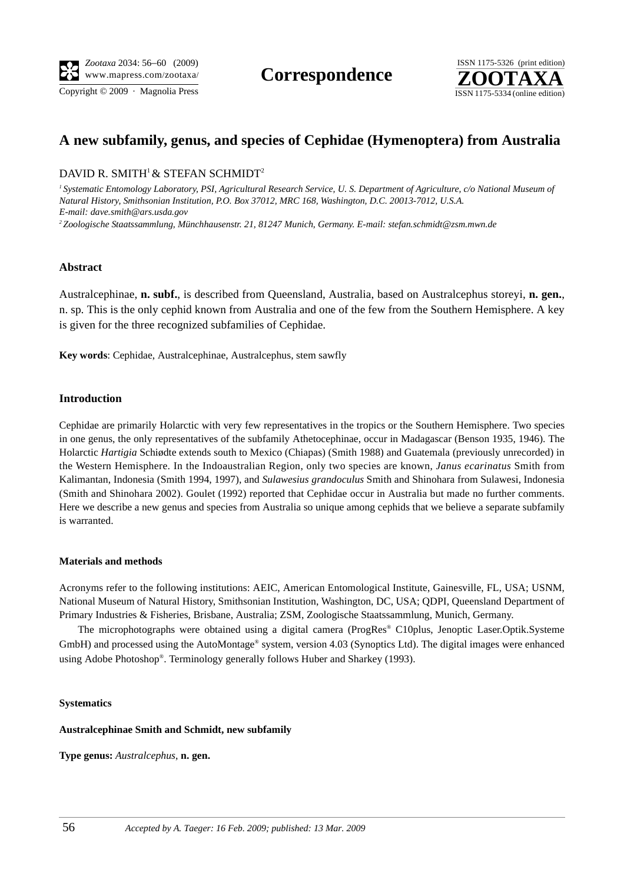Copyright © 2009 · Magnolia Press ISSN 1175-5334 (online edition)



# **A new subfamily, genus, and species of Cephidae (Hymenoptera) from Australia**

## DAVID R. SMITH<sup>1</sup> & STEFAN SCHMIDT<sup>2</sup>

<sup>1</sup> Systematic Entomology Laboratory, PSI, Agricultural Research Service, U. S. Department of Agriculture, c/o National Museum of *Natural History, Smithsonian Institution, P.O. Box 37012, MRC 168, Washington, D.C. 20013-7012, U.S.A. E-mail: dave.smith@ars.usda.gov 2 Zoologische Staatssammlung, Münchhausenstr. 21, 81247 Munich, Germany. E-mail: stefan.schmidt@zsm.mwn.de*

## **Abstract**

Australcephinae, **n. subf.**, is described from Queensland, Australia, based on Australcephus storeyi, **n. gen.**, n. sp. This is the only cephid known from Australia and one of the few from the Southern Hemisphere. A key is given for the three recognized subfamilies of Cephidae.

**Key words**: Cephidae, Australcephinae, Australcephus, stem sawfly

## **Introduction**

Cephidae are primarily Holarctic with very few representatives in the tropics or the Southern Hemisphere. Two species in one genus, the only representatives of the subfamily Athetocephinae, occur in Madagascar (Benson 1935, 1946). The Holarctic *Hartigia* Schiødte extends south to Mexico (Chiapas) (Smith 1988) and Guatemala (previously unrecorded) in the Western Hemisphere. In the Indoaustralian Region, only two species are known, *Janus ecarinatus* Smith from Kalimantan, Indonesia (Smith 1994, 1997), and *Sulawesius grandoculus* Smith and Shinohara from Sulawesi, Indonesia (Smith and Shinohara 2002). Goulet (1992) reported that Cephidae occur in Australia but made no further comments. Here we describe a new genus and species from Australia so unique among cephids that we believe a separate subfamily is warranted.

## **Materials and methods**

Acronyms refer to the following institutions: AEIC, American Entomological Institute, Gainesville, FL, USA; USNM, National Museum of Natural History, Smithsonian Institution, Washington, DC, USA; QDPI, Queensland Department of Primary Industries & Fisheries, Brisbane, Australia; ZSM, Zoologische Staatssammlung, Munich, Germany.

The microphotographs were obtained using a digital camera (ProgRes® C10plus, Jenoptic Laser.Optik.Systeme GmbH) and processed using the AutoMontage® system, version 4.03 (Synoptics Ltd). The digital images were enhanced using Adobe Photoshop®. Terminology generally follows Huber and Sharkey (1993).

#### **Systematics**

## **Australcephinae Smith and Schmidt, new subfamily**

**Type genus:** *Australcephus*, **n. gen.**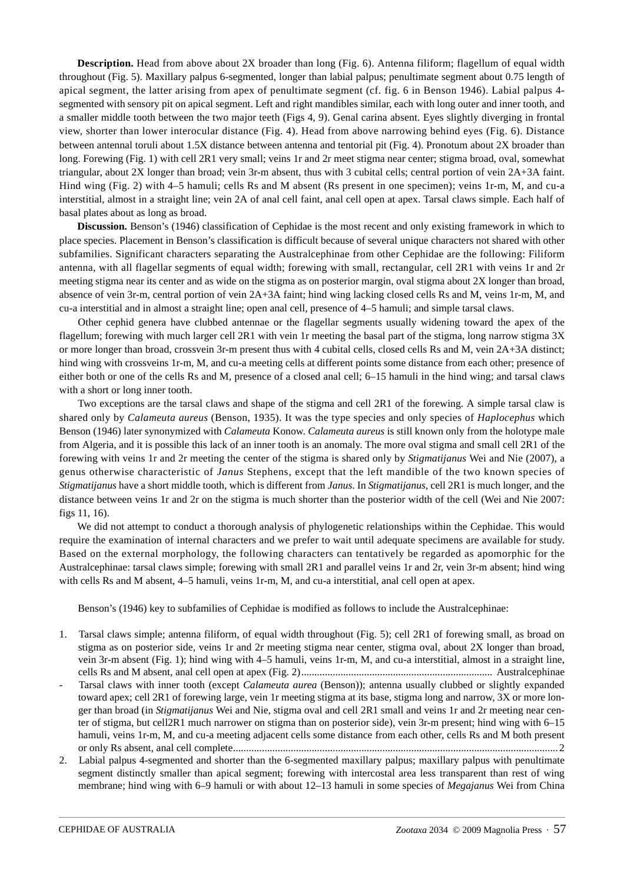**Description.** Head from above about 2X broader than long (Fig. 6). Antenna filiform; flagellum of equal width throughout (Fig. 5). Maxillary palpus 6-segmented, longer than labial palpus; penultimate segment about 0.75 length of apical segment, the latter arising from apex of penultimate segment (cf. fig. 6 in Benson 1946). Labial palpus 4 segmented with sensory pit on apical segment. Left and right mandibles similar, each with long outer and inner tooth, and a smaller middle tooth between the two major teeth (Figs 4, 9). Genal carina absent. Eyes slightly diverging in frontal view, shorter than lower interocular distance (Fig. 4). Head from above narrowing behind eyes (Fig. 6). Distance between antennal toruli about 1.5X distance between antenna and tentorial pit (Fig. 4). Pronotum about 2X broader than long. Forewing (Fig. 1) with cell 2R1 very small; veins 1r and 2r meet stigma near center; stigma broad, oval, somewhat triangular, about 2X longer than broad; vein 3r-m absent, thus with 3 cubital cells; central portion of vein 2A+3A faint. Hind wing (Fig. 2) with 4–5 hamuli; cells Rs and M absent (Rs present in one specimen); veins 1r-m, M, and cu-a interstitial, almost in a straight line; vein 2A of anal cell faint, anal cell open at apex. Tarsal claws simple. Each half of basal plates about as long as broad.

**Discussion.** Benson's (1946) classification of Cephidae is the most recent and only existing framework in which to place species. Placement in Benson's classification is difficult because of several unique characters not shared with other subfamilies. Significant characters separating the Australcephinae from other Cephidae are the following: Filiform antenna, with all flagellar segments of equal width; forewing with small, rectangular, cell 2R1 with veins 1r and 2r meeting stigma near its center and as wide on the stigma as on posterior margin, oval stigma about 2X longer than broad, absence of vein 3r-m, central portion of vein 2A+3A faint; hind wing lacking closed cells Rs and M, veins 1r-m, M, and cu-a interstitial and in almost a straight line; open anal cell, presence of 4–5 hamuli; and simple tarsal claws.

Other cephid genera have clubbed antennae or the flagellar segments usually widening toward the apex of the flagellum; forewing with much larger cell 2R1 with vein 1r meeting the basal part of the stigma, long narrow stigma 3X or more longer than broad, crossvein 3r-m present thus with 4 cubital cells, closed cells Rs and M, vein 2A+3A distinct; hind wing with crossveins 1r-m, M, and cu-a meeting cells at different points some distance from each other; presence of either both or one of the cells Rs and M, presence of a closed anal cell; 6–15 hamuli in the hind wing; and tarsal claws with a short or long inner tooth.

Two exceptions are the tarsal claws and shape of the stigma and cell 2R1 of the forewing. A simple tarsal claw is shared only by *Calameuta aureus* (Benson, 1935). It was the type species and only species of *Haplocephus* which Benson (1946) later synonymized with *Calameuta* Konow. *Calameuta aureus* is still known only from the holotype male from Algeria, and it is possible this lack of an inner tooth is an anomaly. The more oval stigma and small cell 2R1 of the forewing with veins 1r and 2r meeting the center of the stigma is shared only by *Stigmatijanus* Wei and Nie (2007), a genus otherwise characteristic of *Janus* Stephens, except that the left mandible of the two known species of *Stigmatijanus* have a short middle tooth, which is different from *Janus*. In *Stigmatijanus*, cell 2R1 is much longer, and the distance between veins 1r and 2r on the stigma is much shorter than the posterior width of the cell (Wei and Nie 2007: figs 11, 16).

We did not attempt to conduct a thorough analysis of phylogenetic relationships within the Cephidae. This would require the examination of internal characters and we prefer to wait until adequate specimens are available for study. Based on the external morphology, the following characters can tentatively be regarded as apomorphic for the Australcephinae: tarsal claws simple; forewing with small 2R1 and parallel veins 1r and 2r, vein 3r-m absent; hind wing with cells Rs and M absent, 4–5 hamuli, veins 1r-m, M, and cu-a interstitial, anal cell open at apex.

Benson's (1946) key to subfamilies of Cephidae is modified as follows to include the Australcephinae:

- 1. Tarsal claws simple; antenna filiform, of equal width throughout (Fig. 5); cell 2R1 of forewing small, as broad on stigma as on posterior side, veins 1r and 2r meeting stigma near center, stigma oval, about 2X longer than broad, vein 3r-m absent (Fig. 1); hind wing with 4–5 hamuli, veins 1r-m, M, and cu-a interstitial, almost in a straight line, cells Rs and M absent, anal cell open at apex (Fig. 2)......................................................................... Australcephinae
- Tarsal claws with inner tooth (except *Calameuta aurea* (Benson)); antenna usually clubbed or slightly expanded toward apex; cell 2R1 of forewing large, vein 1r meeting stigma at its base, stigma long and narrow, 3X or more longer than broad (in *Stigmatijanus* Wei and Nie, stigma oval and cell 2R1 small and veins 1r and 2r meeting near center of stigma, but cell2R1 much narrower on stigma than on posterior side), vein 3r-m present; hind wing with 6–15 hamuli, veins 1r-m, M, and cu-a meeting adjacent cells some distance from each other, cells Rs and M both present or only Rs absent, anal cell complete............................................................................................................................ 2
- 2. Labial palpus 4-segmented and shorter than the 6-segmented maxillary palpus; maxillary palpus with penultimate segment distinctly smaller than apical segment; forewing with intercostal area less transparent than rest of wing membrane; hind wing with 6–9 hamuli or with about 12–13 hamuli in some species of *Megajanus* Wei from China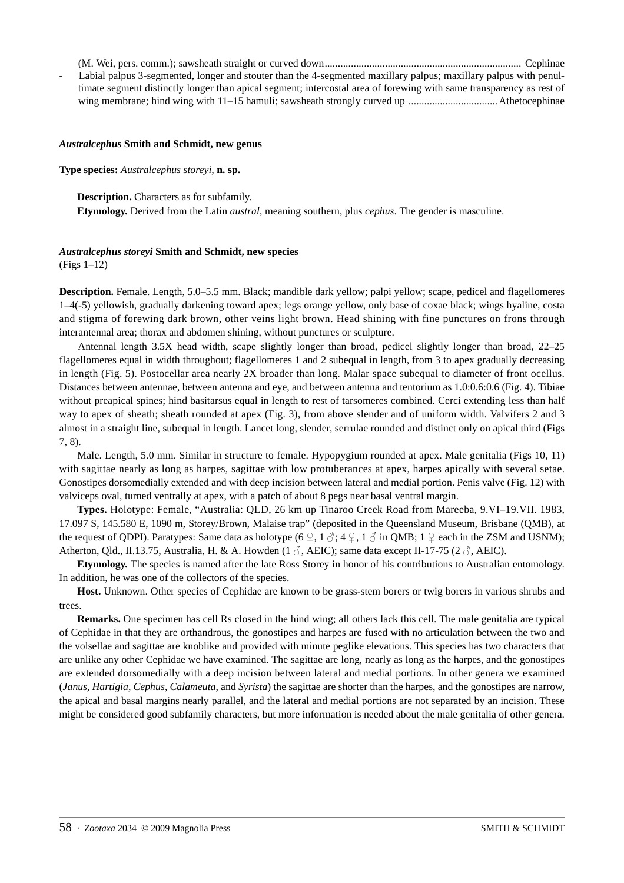(M. Wei, pers. comm.); sawsheath straight or curved down........................................................................... Cephinae

- Labial palpus 3-segmented, longer and stouter than the 4-segmented maxillary palpus; maxillary palpus with penultimate segment distinctly longer than apical segment; intercostal area of forewing with same transparency as rest of wing membrane; hind wing with 11–15 hamuli; sawsheath strongly curved up ..................................Athetocephinae

#### *Australcephus* **Smith and Schmidt, new genus**

**Type species:** *Australcephus storeyi,* **n. sp.**

**Description.** Characters as for subfamily.

**Etymology.** Derived from the Latin *austral*, meaning southern, plus *cephus*. The gender is masculine.

#### *Australcephus storeyi* **Smith and Schmidt, new species**

(Figs 1–12)

**Description.** Female. Length, 5.0–5.5 mm. Black; mandible dark yellow; palpi yellow; scape, pedicel and flagellomeres 1–4(-5) yellowish, gradually darkening toward apex; legs orange yellow, only base of coxae black; wings hyaline, costa and stigma of forewing dark brown, other veins light brown. Head shining with fine punctures on frons through interantennal area; thorax and abdomen shining, without punctures or sculpture.

Antennal length 3.5X head width, scape slightly longer than broad, pedicel slightly longer than broad, 22–25 flagellomeres equal in width throughout; flagellomeres 1 and 2 subequal in length, from 3 to apex gradually decreasing in length (Fig. 5). Postocellar area nearly 2X broader than long. Malar space subequal to diameter of front ocellus. Distances between antennae, between antenna and eye, and between antenna and tentorium as 1.0:0.6:0.6 (Fig. 4). Tibiae without preapical spines; hind basitarsus equal in length to rest of tarsomeres combined. Cerci extending less than half way to apex of sheath; sheath rounded at apex (Fig. 3), from above slender and of uniform width. Valvifers 2 and 3 almost in a straight line, subequal in length. Lancet long, slender, serrulae rounded and distinct only on apical third (Figs 7, 8).

Male. Length, 5.0 mm. Similar in structure to female. Hypopygium rounded at apex. Male genitalia (Figs 10, 11) with sagittae nearly as long as harpes, sagittae with low protuberances at apex, harpes apically with several setae. Gonostipes dorsomedially extended and with deep incision between lateral and medial portion. Penis valve (Fig. 12) with valviceps oval, turned ventrally at apex, with a patch of about 8 pegs near basal ventral margin.

**Types.** Holotype: Female, "Australia: QLD, 26 km up Tinaroo Creek Road from Mareeba, 9.VI–19.VII. 1983, 17.097 S, 145.580 E, 1090 m, Storey/Brown, Malaise trap" (deposited in the Queensland Museum, Brisbane (QMB), at the request of QDPI). Paratypes: Same data as holotype (6  $\mathcal{Q}, 1 \mathcal{Z}, 4 \mathcal{Q}, 1 \mathcal{Z}$  in QMB; 1  $\mathcal{Q}$  each in the ZSM and USNM); Atherton, Qld., II.13.75, Australia, H. & A. Howden (1  $\mathcal{J}$ , AEIC); same data except II-17-75 (2  $\mathcal{J}$ , AEIC).

**Etymology.** The species is named after the late Ross Storey in honor of his contributions to Australian entomology. In addition, he was one of the collectors of the species.

**Host.** Unknown. Other species of Cephidae are known to be grass-stem borers or twig borers in various shrubs and trees.

**Remarks.** One specimen has cell Rs closed in the hind wing; all others lack this cell. The male genitalia are typical of Cephidae in that they are orthandrous, the gonostipes and harpes are fused with no articulation between the two and the volsellae and sagittae are knoblike and provided with minute peglike elevations. This species has two characters that are unlike any other Cephidae we have examined. The sagittae are long, nearly as long as the harpes, and the gonostipes are extended dorsomedially with a deep incision between lateral and medial portions. In other genera we examined (*Janus, Hartigia, Cephus, Calameuta*, and *Syrista*) the sagittae are shorter than the harpes, and the gonostipes are narrow, the apical and basal margins nearly parallel, and the lateral and medial portions are not separated by an incision. These might be considered good subfamily characters, but more information is needed about the male genitalia of other genera.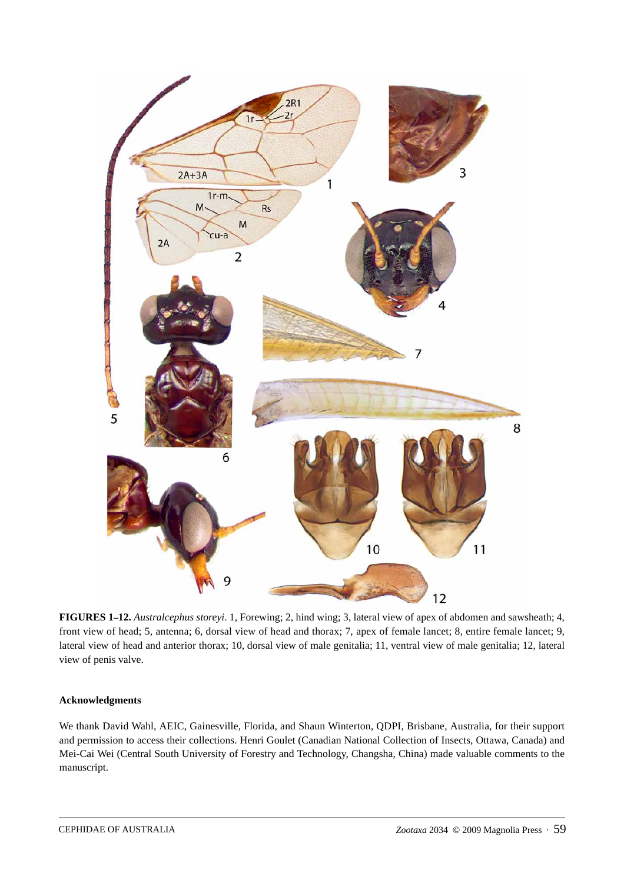

**FIGURES 1–12.** *Australcephus storeyi*. 1, Forewing; 2, hind wing; 3, lateral view of apex of abdomen and sawsheath; 4, front view of head; 5, antenna; 6, dorsal view of head and thorax; 7, apex of female lancet; 8, entire female lancet; 9, lateral view of head and anterior thorax; 10, dorsal view of male genitalia; 11, ventral view of male genitalia; 12, lateral view of penis valve.

## **Acknowledgments**

We thank David Wahl, AEIC, Gainesville, Florida, and Shaun Winterton, QDPI, Brisbane, Australia, for their support and permission to access their collections. Henri Goulet (Canadian National Collection of Insects, Ottawa, Canada) and Mei-Cai Wei (Central South University of Forestry and Technology, Changsha, China) made valuable comments to the manuscript.